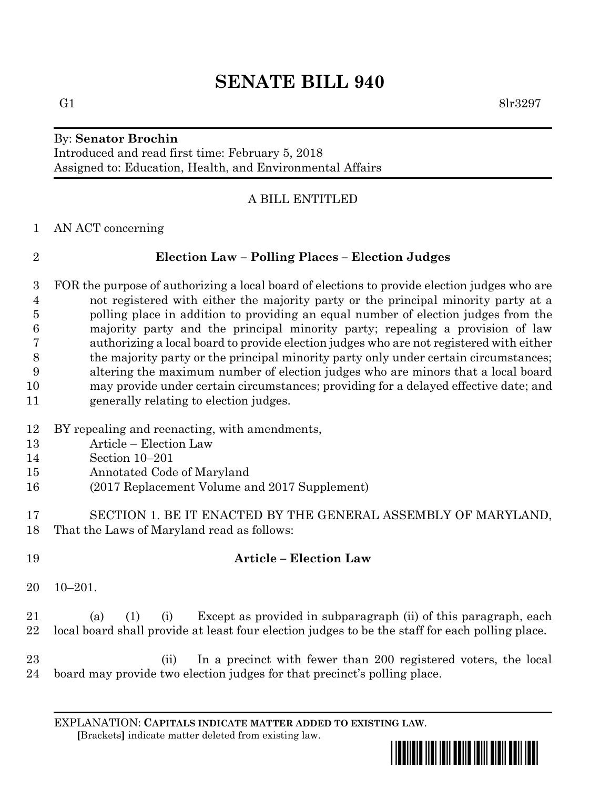# **SENATE BILL 940**

## By: **Senator Brochin**

Introduced and read first time: February 5, 2018 Assigned to: Education, Health, and Environmental Affairs

## A BILL ENTITLED

AN ACT concerning

## **Election Law – Polling Places – Election Judges**

 FOR the purpose of authorizing a local board of elections to provide election judges who are not registered with either the majority party or the principal minority party at a polling place in addition to providing an equal number of election judges from the majority party and the principal minority party; repealing a provision of law authorizing a local board to provide election judges who are not registered with either the majority party or the principal minority party only under certain circumstances; altering the maximum number of election judges who are minors that a local board may provide under certain circumstances; providing for a delayed effective date; and generally relating to election judges.

- BY repealing and reenacting, with amendments,
- Article Election Law
- Section 10–201
- Annotated Code of Maryland
- (2017 Replacement Volume and 2017 Supplement)
- SECTION 1. BE IT ENACTED BY THE GENERAL ASSEMBLY OF MARYLAND, That the Laws of Maryland read as follows:
- **Article – Election Law**
	- 10–201.

 (a) (1) (i) Except as provided in subparagraph (ii) of this paragraph, each local board shall provide at least four election judges to be the staff for each polling place.

 (ii) In a precinct with fewer than 200 registered voters, the local board may provide two election judges for that precinct's polling place.

EXPLANATION: **CAPITALS INDICATE MATTER ADDED TO EXISTING LAW**.  **[**Brackets**]** indicate matter deleted from existing law.